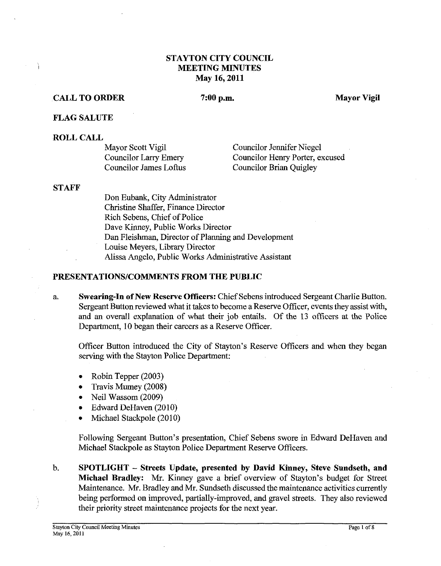# **STAYTON CITY COUNCIL MEETING MINUTES May 16,2011**

## **CALL TO ORDER**

**7:00 p.m. Mayor Vigil** 

#### **FLAG SALUTE**

#### **ROLL CALL**

Mayor Scott Vigil Councilor Larry Emery Councilor James Loftus Councilor Jennifer Niegel Councilor Henry Porter, excused Councilor Brian Quigley

#### **STAFF**

Don Eubank, City Administrator Christine Shaffer, Finance Director Rich Sebens, Chief of Police Dave Kinney, Public Works Director Dan Fleishman, Director of Planning and Development Louise Meyers, Library Director Alissa Angelo, Public Works Administrative Assistant

#### **PRESENTATIONSICOMMENTS FROM THE PUBLIC**

a. **Swearing-In of New Reserve Officers:** Chief Sebens introduced Sergeant Charlie Button. Sergeant Button reviewed what it takes to become a Reserve Officer, events they assist with, and an overall explanation of what their job entails. Of the 13 officers at the Police Department, 10 began their careers as a Reserve Officer.

Officer Button introduced the City of Stayton's Reserve Officers and when they began serving with the Stayton Police Department:

- Robin Tepper (2003)  $\bullet$
- Travis Mumey (2008)  $\bullet$
- Neil Wassom (2009)
- Edward DeHaven (2010)  $\bullet$
- Michael Stackpole (2010)  $\bullet$

Following Sergeant Button's presentation, Chief Sebens swore in Edward DeHaven and Michael Stackpole as Stayton Police Department Reserve Officers.

b. **SPOTLIGHT** - **Streets Update, presented by David Kinney, Steve Sundseth, and Michael Bradley: Mr.** Kinney gave a brief overview of Stayton's budget for Street Maintenance. Mr. Bradley and Mr. Sundseth discussed the maintenance activities currently being performed on improved, partially-improved, and gravel streets. They also reviewed their priority street maintenance projects for the next year.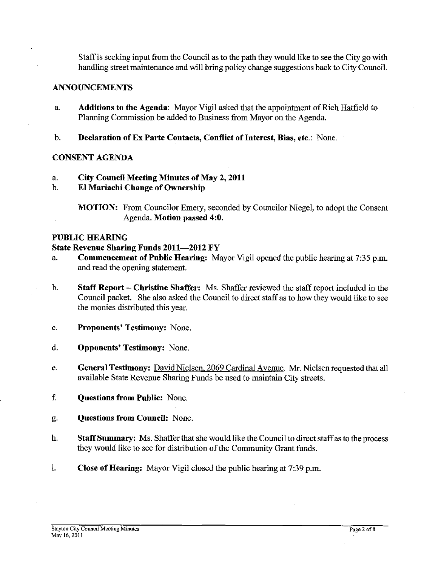Staff is seeking input from the Council as to the path they would like to see the City go with handling street maintenance and will bring policy change suggestions back to City Council.

# ANNOUNCEMENTS

- a. Additions to the Agenda: Mayor Vigil asked that the appointment of Rich Hatfield to Planning Commission be added to Business from Mayor on the Agenda.
- b. Declaration of Ex Parte Contacts, Conflict of Interest, Bias, etc.: None.

# CONSENT AGENDA

- a. City Council Meeting Minutes of May **2,2011**
- b. El Mariachi Change of Ownership

MOTION: From Councilor Emery, seconded by Councilor Niegel, to adopt the Consent Agenda. Motion passed **4:O.** 

# PUBLIC HEARING

# State Revenue Sharing Funds **2011-2012** FY

- a. Commencement of Public Hearing: Mayor Vigil opened the public hearing at **7:35** p.m. and read the opening statement.
- b. Staff Report Christine Shaffer: Ms. Shaffer reviewed the staff report included in the Council packet. She also asked the Council to direct staff as to how they would like to see the monies distributed this year.
- c. Proponents' Testimony: None.
- d. Opponents' Testimony: None.
- e. General Testimony: David Nielsen, 2069 Cardinal Avenue. Mr. Nielsen requested that all available State Revenue Sharing Funds be used to maintain City streets.
- f. Questions from Public: None.
- g. Questions from Council: None.
- h. Staff Summary: Ms. Shaffer that she would like the Council to direct staff as to the process they would like to see for distribution of the Community Grant funds.
- i. Close of Hearing: Mayor Vigil closed the public hearing at 7:39 p.m.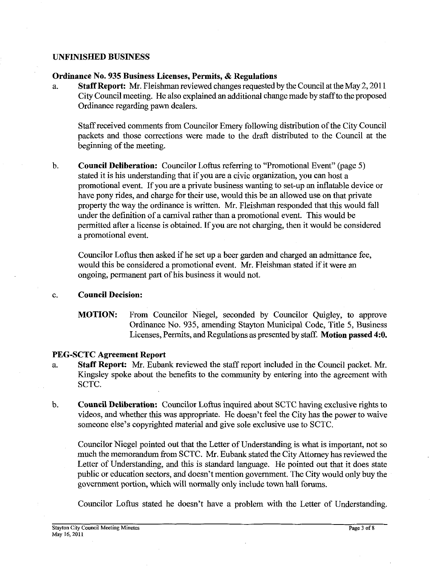## **UNFINISHED BUSINESS**

#### **Ordinance No. 935 Business Licenses, Permits,** & **Regulations**

a. **Staff Report: Mr.** Fleishman reviewed changes requested by the Council at the May 2,201 1 City Council meeting. He also explained an additional change made by staffto the proposed Ordinance regarding pawn dealers.

Staff received comments from Councilor Emery following distribution of the City Council packets and those corrections were made to the draft distributed to the Council at the beginning of the meeting.

b. **Council Deliberation:** Councilor Loftus referring to "Promotional Event" (page 5) stated it is his understanding that if you are a civic organization, you can host a promotional event. If you are a private business wanting to set-up an inflatable device or have pony rides, and charge for their use, would this be an allowed use on that private property the way the ordinance is written. Mr. Fleishman responded that this would fall under the definition of a carnival rather than a promotional event. This would be permitted after a license is obtained. If you are not charging, then it would be considered a promotional event.

Councilor Loftus then asked if he set up a beer garden and charged an admittance fee, would this be considered a promotional event. Mr. Fleishman stated if it were an ongoing, permanent part of his business it would not.

#### c. **Council Decision:**

**MOTION:** From Councilor Niegel, seconded by Councilor Quigley, to approve Ordinance No. 935, amending Stayton Municipal Code, Title 5, Business Licenses, Permits, and Regulations as presented by staff. **Motion passed 4:O.** 

# **PEG-SCTC Agreement Report**

- a. **Staff Report: Mr.** Eubank reviewed the staff report included in the Council packet. Mr. Kingsley spoke about the benefits to the community by entering into the agreement with SCTC.
- b. **Council Deliberation:** Councilor Loftus inquired about SCTC having exclusive rights to videos, and whether this was appropriate. He doesn't feel the City has the power to waive someone else's copyrighted material and give sole exclusive use to SCTC.

Councilor Niegel pointed out that the Letter of Understanding is what is important, not so much the memorandum fiom SCTC. Mr. Eubank stated the City Attorney has reviewed the Letter of Understanding, and this is standard language. He pointed out that it does state public or education sectors, and doesn't mention government. The City would only buy the government portion, which will normally only include town hall forums.

Councilor Loftus stated he doesn't have a problem with the Letter of Understanding.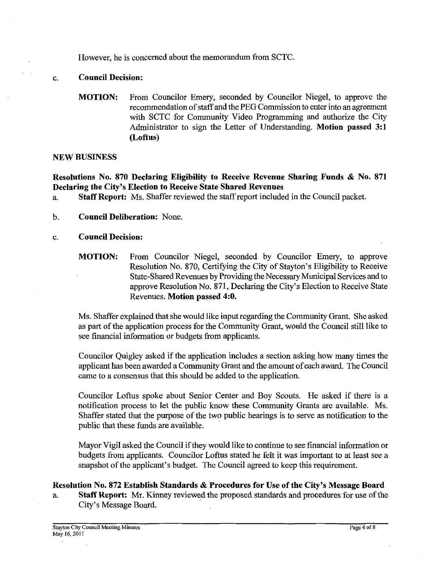However, he is concerned about the memorandum from SCTC.

# c. **Council Decision:**

**MOTION:** From Councilor Emery, seconded by Councilor Niegel, to approve the recommendation of staff and the PEG Commission to enter into an agreement with SCTC for Community Video Programming and authorize the City Administrator to sign the Letter of Understanding. **Motion passed 3:l (Loftus)** 

#### **NEW BUSINESS**

**Resolutions No. 870 Declaring Eligibility to Receive Revenue Sharing Funds** & **No. 871 Declaring the City's Election to Receive State Shared Revenues** 

- a. **Staff Report:** Ms. Shaffer reviewed the staff report included in the Council packet.
- b. **Council Deliberation:** None.
- c. **Council Decision:**

**MOTION:** From Councilor Niegel, seconded by Councilor Emery, to approve Resolution No. 870, Certifying the City of Stayton's Eligibility to Receive State-Shared Revenues by Providing the Necessary Municipal Services and to approve Resolution No. 871, Declaring the City's Election to Receive State Revenues. **Motion passed 4:O.** 

Ms. Shaffer explained that she would like input regarding the Community Grant. She asked as part of the application process for the Community Grant, would the Council still like to see financial information or budgets from applicants.

Councilor Quigley asked if the application includes a section asking how many times the applicant has been awarded a Community Grant and the amount of each award. The Council came to a consensus that this should be added to the application.

Councilor Loftus spoke about Senior Center and Boy Scouts. He asked if there is a notification process to let the public know these Community Grants are available. Ms. Shaffer stated that the purpose of the two public hearings is to serve as notification to the public that these funds are available.

Mayor Vigil asked the Council if they would like to continue to see financial information or budgets from applicants. Councilor Loftus stated he felt it was important to at least see a snapshot of the applicant's budget. The Council agreed to keep this requirement.

# **Resolution No. 872 Establish Standards** & **Procedures for Use of the City's Message Board**

a. **Staff Report. Mr.** Kinney reviewed the proposed standards and procedures for use of the City's Message Board.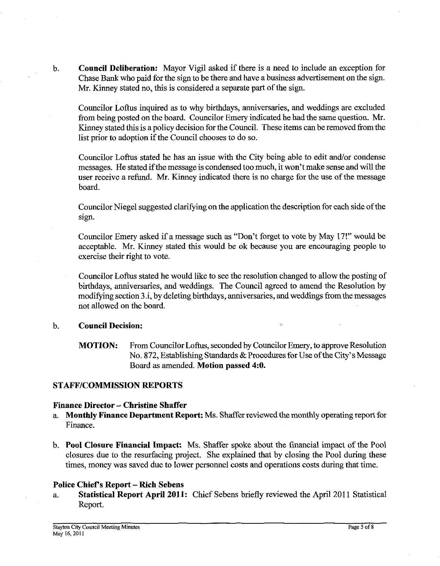b. **Council Deliberation:** Mayor Vigil asked if there is a need to include an exception for Chase Bank who paid for the sign to be there and have a business advertisement on the sign. Mr. Kinney stated no, this is considered a separate part of the sign.

Councilor Loftus inquired as to why birthdays, anniversaries, and weddings are excluded from being posted on the board. Councilor Emery indicated he had the same question. Mr. Kinney stated this is a policy decision for the Council. These items can be removed from the list prior to adoption if the Council chooses to do so.

Councilor Loftus stated he has an issue with the City being able to edit and/or condense messages. He stated if the message is condensed too much, it won't make sense and will the user receive a refund. Mr. Kinney indicated there is no charge for the use of the message board.

Councilor Niegel suggested clarifying on the application the description for each side of the sign.

Councilor Emery asked if a message such as "Don't forget to vote by May 17!" would be acceptable. Mr. Kinney stated this would be ok because you are encouraging people to exercise their right to vote.

Councilor Loftus stated he would like to see the resolution changed to allow the posting of birthdays, anniversaries, and weddings. The Council agreed to amend the Resolution by modifying section 3.i, by deleting birthdays, anniversaries, and weddings from the messages not allowed on the board.

# b. **Council Decision:**

**MOTION:** From Councilor Loftus, seconded by Councilor Emery, to approve Resolution No. 872, Establishing Standards & Procedures for Use of the City's Message Board as amended. **Motion passed 4:O.** 

# **STAFF/COMMISSION REPORTS**

# **Finance Director** - **Christine Shaffer**

- a. **Monthly Fiance Department Report.** Ms. Shaffer reviewed the monthly operating report for Finance.
- b. **Pool Closure Pinancial Impact:** Ms. Shaffer spoke about the financial impact of the Pool closures due to the resurfacing project. She explained that by closing the Pool during these times, money was saved due to lower personnel costs and operations costs during that time.

# **Police Chiefs Report** - **Rich Sebens**

a. **Statistical Report April 2011:** Chief Sebens briefly reviewed the April 2011 Statistical Report.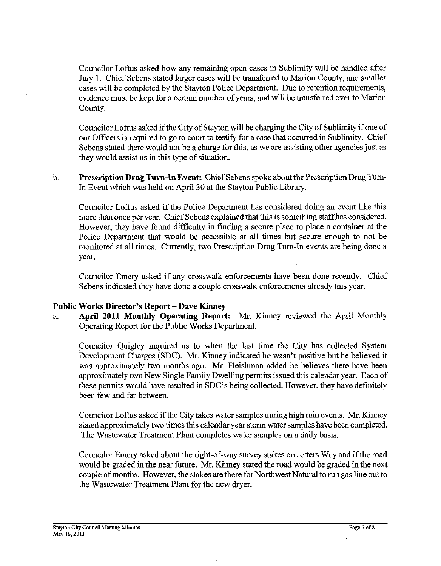Councilor Loftus asked how any remaining open cases in Sublimity will be handled after July 1. Chief Sebens stated larger cases will be transferred to Marion County, and smaller cases will be completed by the Stayton Police Department. Due to retention requirements, evidence must be kept for a certain number of years, and will be transferred over to Marion County.

Councilor Loftus asked if the City of Stayton will be charging the City of Sublimity if one of our Officers is required to go to court to testify for a case that occurred in Sublimity. Chief Sebens stated there would not be a charge for this, as we are assisting other agencies just as they would assist us in this type of situation.

b. **Prescription Drug Turn-In Event:** Chief Sebens spoke about the Prescription Drug **Turn-**In Event which was held on April 30 at the Stayton Public Library.

Councilor Loftus asked if the Police Department has considered doing an event like this more than once per year. Chief Sebens explained that this is something staff has considered. However, they have found difficulty in fmding a secure place to place a container at the Police Department that would be accessible at all times but secure enough to not be monitored at all times. Currently, two Prescription Drug Turn-In events are being done a year.

Councilor Emery asked if any crosswalk enforcements have been done recently. Chief Sebens indicated they have done a couple crosswalk enforcements already this year.

#### Public Works Director's Report - Dave Kinney

a. **April 2011 Monthly Operating Report.** Mr. Kinney reviewed the April Monthly Operating Report for the Public Works Department.

Councilor Quigley inquired as to when the last time the City has collected System Development Charges (SDC). Mr. Kinney indicated he wasn't positive but he believed it was approximately two months ago. Mr. Fleishman added he believes there have been approximately two New Single Family Dwelling permits issued this calendar year. Each of these permits would have resulted in SDC's being collected. However, they have definitely been few and far between.

Councilor Loftus asked if the City takes water samples during high rain events. Mr. Kinney stated approximately two times this calendar year storm water samples have been completed. The Wastewater Treatment Plant completes water samples on a daily basis.

Councilor Emery asked about the right-of-way survey stakes on Jetters Way and if the road would be graded in the near future. Mr. Kinney stated the road would be graded in the next couple of months. However, the stakes are there for Northwest Natural to run gas line out to the Wastewater Treatment Plant for the new dryer.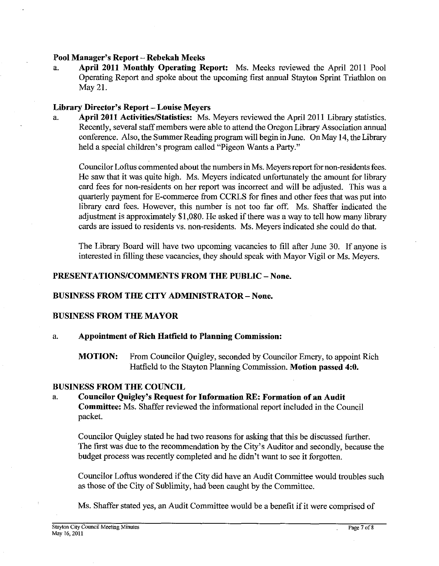# **Pool Manager's Report** - **Rebekah Meek**

a. **April 2011 Monthly Operating Report:** Ms. Meeks reviewed the April 201 1 Pool Operating Report and spoke about the upcoming first annual Stayton Sprint Triathlon on May 21.

# **Library Director's Report – Louise Meyers**<br> **a.** April 2011 Activities/Statistics: Ms.

April 2011 Activities/Statistics: Ms. Meyers reviewed the April 2011 Library statistics. Recently, several staff members were able to attend the Oregon Library Association annual conference. Also, the Summer Reading program will begin in June. On May 14, the Library held a special children's program called "Pigeon Wants a Party."

Councilor Loftus commented about the numbers in Ms. Meyers report for non-residents fees. He saw that it was quite high. Ms. Meyers indicated unfortunately the amount for library card fees for non-residents on her report was incorrect and will be adjusted. This was a quarterly payment for E-commerce from CCRLS for fmes and other fees that was put into library card fees. However, this number is not too far off. Ms. Shaffer indicated the adjustment is approximately \$1,080. He asked if there was a way to tell how many library cards are issued to residents vs. non-residents. Ms. Meyers indicated she could do that.

The Library Board will have two upcoming vacancies to fill after June 30. If anyone is interested in filling these vacancies, they should speak with Mayor Vigil or Ms. Meyers.

# **PRESENTATIONSICOMMENTS FROM THE PUBLIC** - **None.**

#### **BUSINESS FROM THE CITY ADMINISTRATOR** - **None.**

# **BUSINESS FROM THE MAYOR**

# a. **Appointment of Rich Hatfield to Planning Commission:**

**MOTION:** From Councilor Quigley, seconded by Councilor Emery, to appoint Rich Hatfield to the Stayton Planning Commission. **Motion passed 4:O.** 

#### **BUSINESS FROM THE COUNCIL**

a. **Councilor Quigley's Request for Information RE: Formation of an Audit Committee:** Ms. Shaffer reviewed the informational report included in the Council packet.

Councilor Quigley stated he had two reasons for asking that this be discussed further. The first was due to the recommendation by the City's Auditor and secondly, because the budget process was recently completed and he didn't want to see it forgotten.

Councilor Loftus wondered if the City did have an Audit Committee would troubles such as those of the City of Sublimity, had been caught by the Committee.

Ms. Shaffer stated yes, an Audit Committee would be a benefit if it were comprised of